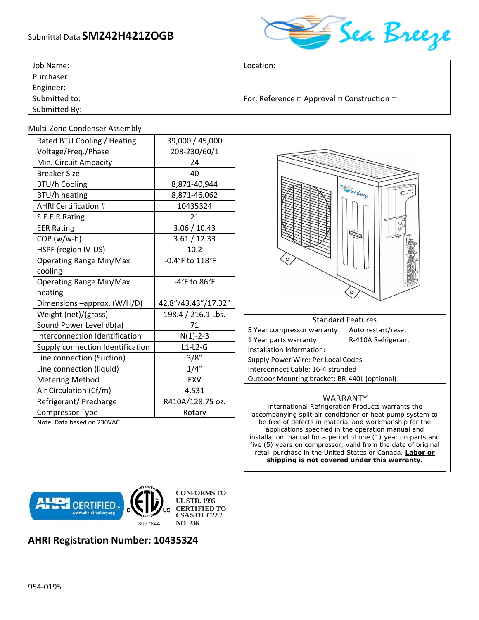## Submittal Data **SMZ42H421ZOGB**



| Job Name:     | Location:                                                 |
|---------------|-----------------------------------------------------------|
| Purchaser:    |                                                           |
| Engineer:     |                                                           |
| Submitted to: | For: Reference $\Box$ Approval $\Box$ Construction $\Box$ |
| Submitted By: |                                                           |

## Multi‐Zone Condenser Assembly

| Rated BTU Cooling / Heating      | 39,000 / 45,000                  |
|----------------------------------|----------------------------------|
| Voltage/Freq./Phase              | 208-230/60/1                     |
| Min. Circuit Ampacity            | 24                               |
| <b>Breaker Size</b>              | 40                               |
| <b>BTU/h Cooling</b>             | 8,871-40,944                     |
| BTU/h heating                    | 8,871-46,062                     |
| <b>AHRI Certification #</b>      | 10435324                         |
| S.E.E.R Rating                   | 21                               |
| <b>EER Rating</b>                | 3.06 / 10.43                     |
| COP (w/w-h)                      | 3.61 / 12.33                     |
| HSPF (region IV-US)              | 10.2                             |
| <b>Operating Range Min/Max</b>   | -0.4°F to 118°F                  |
| cooling                          |                                  |
| <b>Operating Range Min/Max</b>   | $-4^{\circ}$ F to $86^{\circ}$ F |
| heating                          |                                  |
| Dimensions -approx. (W/H/D)      | 42.8"/43.43"/17.32"              |
| Weight (net)/(gross)             | 198.4 / 216.1 Lbs.               |
| Sound Power Level db(a)          | 71                               |
| Interconnection Identification   | $N(1) - 2 - 3$                   |
| Supply connection Identification | $L1-L2-G$                        |
| Line connection (Suction)        | 3/8"                             |
| Line connection (liquid)         | 1/4"                             |
| <b>Metering Method</b>           | <b>EXV</b>                       |
| Air Circulation (Cf/m)           | 4,531                            |
| Refrigerant/ Precharge           | R410A/128.75 oz.                 |
| Compressor Type                  | Rotary                           |
| Note: Data based on 230VAC       |                                  |



applications specified in the operation manual and installation manual for a period of one (1) year on parts and five (5) years on compressor, valid from the date of original retail purchase in the United States or Canada. **Labor or shipping is not covered under this warranty.** 



## **AHRI Registration Number: 10435324**